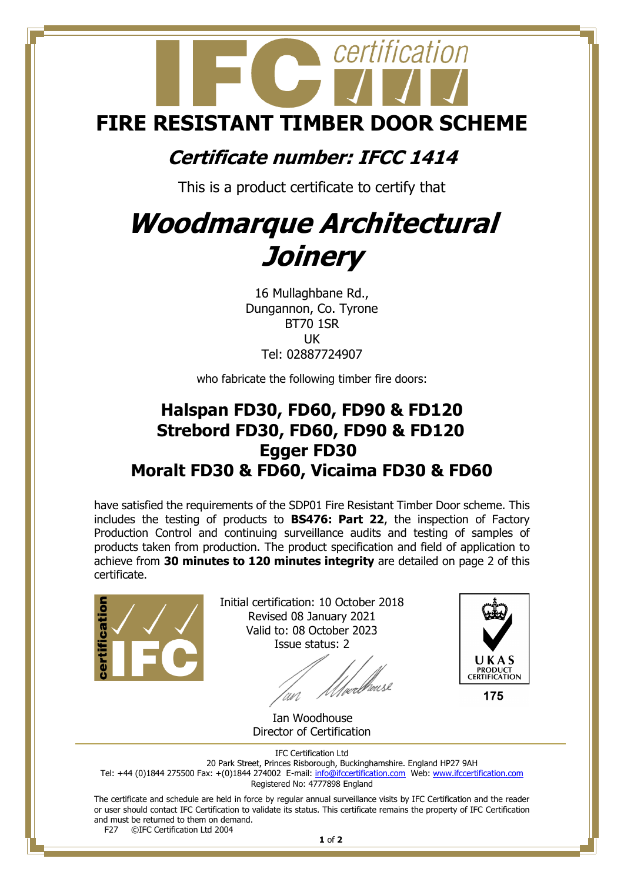

## **Certificate number: IFCC 1414**

This is a product certificate to certify that

## **Woodmarque Architectural Joinery**

16 Mullaghbane Rd., Dungannon, Co. Tyrone BT70 1SR UK Tel: 02887724907

who fabricate the following timber fire doors:

## **Halspan FD30, FD60, FD90 & FD120 Strebord FD30, FD60, FD90 & FD120 Egger FD30 Moralt FD30 & FD60, Vicaima FD30 & FD60**

have satisfied the requirements of the SDP01 Fire Resistant Timber Door scheme. This includes the testing of products to **BS476: Part 22**, the inspection of Factory Production Control and continuing surveillance audits and testing of samples of products taken from production. The product specification and field of application to achieve from **30 minutes to 120 minutes integrity** are detailed on page 2 of this certificate.



Initial certification: 10 October 2018 Revised 08 January 2021 Valid to: 08 October 2023 Issue status: 2

//webhouse



175

 Ian Woodhouse Director of Certification

IFC Certification Ltd

20 Park Street, Princes Risborough, Buckinghamshire. England HP27 9AH

Tel: +44 (0)1844 275500 Fax: +(0)1844 274002 E-mail[: info@ifccertification.com](mailto:info@ifccertification.com) Web: [www.ifccertification.com](http://www.ifccertification.com/) Registered No: 4777898 England

The certificate and schedule are held in force by regular annual surveillance visits by IFC Certification and the reader or user should contact IFC Certification to validate its status. This certificate remains the property of IFC Certification and must be returned to them on demand.<br>F27  $\odot$  FC Certification Ltd 2004

©IFC Certification Ltd 2004